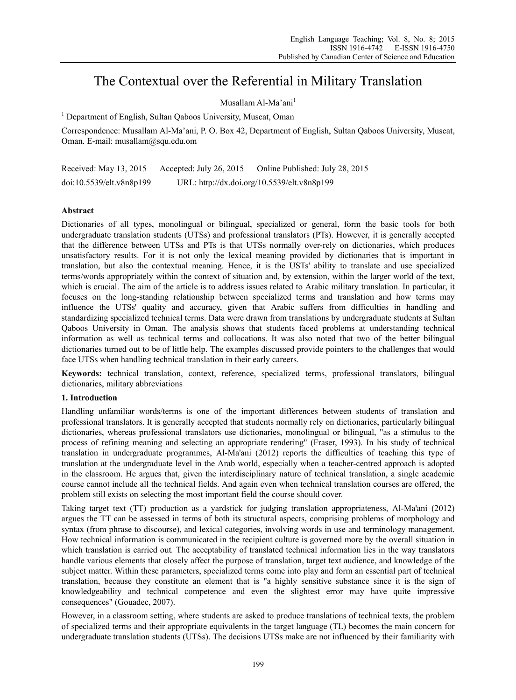# The Contextual over the Referential in Military Translation

# Musallam Al-Ma'ani<sup>1</sup>

<sup>1</sup> Department of English, Sultan Qaboos University, Muscat, Oman

Correspondence: Musallam Al-Ma'ani, P. O. Box 42, Department of English, Sultan Qaboos University, Muscat, Oman. E-mail: musallam@squ.edu.om

Received: May 13, 2015 Accepted: July 26, 2015 Online Published: July 28, 2015 doi:10.5539/elt.v8n8p199 URL: http://dx.doi.org/10.5539/elt.v8n8p199

# **Abstract**

Dictionaries of all types, monolingual or bilingual, specialized or general, form the basic tools for both undergraduate translation students (UTSs) and professional translators (PTs). However, it is generally accepted that the difference between UTSs and PTs is that UTSs normally over-rely on dictionaries, which produces unsatisfactory results. For it is not only the lexical meaning provided by dictionaries that is important in translation, but also the contextual meaning. Hence, it is the USTs' ability to translate and use specialized terms/words appropriately within the context of situation and, by extension, within the larger world of the text, which is crucial. The aim of the article is to address issues related to Arabic military translation. In particular, it focuses on the long-standing relationship between specialized terms and translation and how terms may influence the UTSs' quality and accuracy, given that Arabic suffers from difficulties in handling and standardizing specialized technical terms. Data were drawn from translations by undergraduate students at Sultan Qaboos University in Oman. The analysis shows that students faced problems at understanding technical information as well as technical terms and collocations. It was also noted that two of the better bilingual dictionaries turned out to be of little help. The examples discussed provide pointers to the challenges that would face UTSs when handling technical translation in their early careers.

**Keywords:** technical translation, context, reference, specialized terms, professional translators, bilingual dictionaries, military abbreviations

## **1. Introduction**

Handling unfamiliar words/terms is one of the important differences between students of translation and professional translators. It is generally accepted that students normally rely on dictionaries, particularly bilingual dictionaries, whereas professional translators use dictionaries, monolingual or bilingual, "as a stimulus to the process of refining meaning and selecting an appropriate rendering" (Fraser, 1993). In his study of technical translation in undergraduate programmes, Al-Ma'ani (2012) reports the difficulties of teaching this type of translation at the undergraduate level in the Arab world, especially when a teacher-centred approach is adopted in the classroom. He argues that, given the interdisciplinary nature of technical translation, a single academic course cannot include all the technical fields. And again even when technical translation courses are offered, the problem still exists on selecting the most important field the course should cover.

Taking target text (TT) production as a yardstick for judging translation appropriateness, Al-Ma'ani (2012) argues the TT can be assessed in terms of both its structural aspects, comprising problems of morphology and syntax (from phrase to discourse), and lexical categories, involving words in use and terminology management. How technical information is communicated in the recipient culture is governed more by the overall situation in which translation is carried out. The acceptability of translated technical information lies in the way translators handle various elements that closely affect the purpose of translation, target text audience, and knowledge of the subject matter. Within these parameters, specialized terms come into play and form an essential part of technical translation, because they constitute an element that is "a highly sensitive substance since it is the sign of knowledgeability and technical competence and even the slightest error may have quite impressive consequences" (Gouadec, 2007).

However, in a classroom setting, where students are asked to produce translations of technical texts, the problem of specialized terms and their appropriate equivalents in the target language (TL) becomes the main concern for undergraduate translation students (UTSs). The decisions UTSs make are not influenced by their familiarity with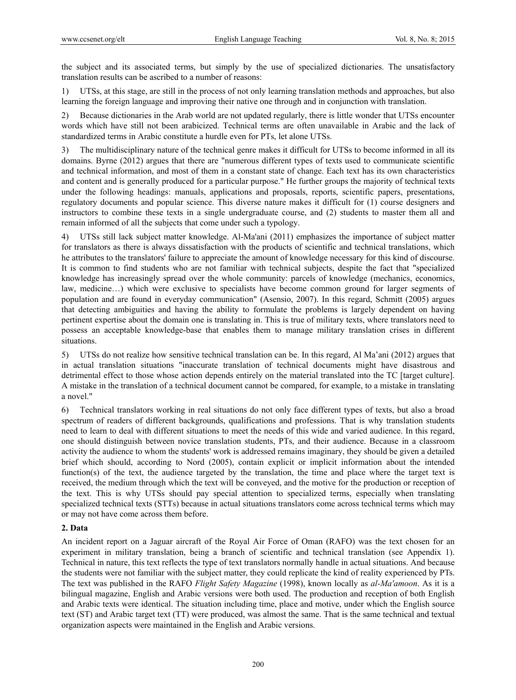the subject and its associated terms, but simply by the use of specialized dictionaries. The unsatisfactory translation results can be ascribed to a number of reasons:

1) UTSs, at this stage, are still in the process of not only learning translation methods and approaches, but also learning the foreign language and improving their native one through and in conjunction with translation.

2) Because dictionaries in the Arab world are not updated regularly, there is little wonder that UTSs encounter words which have still not been arabicized. Technical terms are often unavailable in Arabic and the lack of standardized terms in Arabic constitute a hurdle even for PTs, let alone UTSs.

3) The multidisciplinary nature of the technical genre makes it difficult for UTSs to become informed in all its domains. Byrne (2012) argues that there are "numerous different types of texts used to communicate scientific and technical information, and most of them in a constant state of change. Each text has its own characteristics and content and is generally produced for a particular purpose." He further groups the majority of technical texts under the following headings: manuals, applications and proposals, reports, scientific papers, presentations, regulatory documents and popular science. This diverse nature makes it difficult for (1) course designers and instructors to combine these texts in a single undergraduate course, and (2) students to master them all and remain informed of all the subjects that come under such a typology.

4) UTSs still lack subject matter knowledge. Al-Ma'ani (2011) emphasizes the importance of subject matter for translators as there is always dissatisfaction with the products of scientific and technical translations, which he attributes to the translators' failure to appreciate the amount of knowledge necessary for this kind of discourse. It is common to find students who are not familiar with technical subjects, despite the fact that "specialized knowledge has increasingly spread over the whole community: parcels of knowledge (mechanics, economics, law, medicine…) which were exclusive to specialists have become common ground for larger segments of population and are found in everyday communication" (Asensio, 2007). In this regard, Schmitt (2005) argues that detecting ambiguities and having the ability to formulate the problems is largely dependent on having pertinent expertise about the domain one is translating in. This is true of military texts, where translators need to possess an acceptable knowledge-base that enables them to manage military translation crises in different situations.

5) UTSs do not realize how sensitive technical translation can be. In this regard, Al Ma'ani (2012) argues that in actual translation situations "inaccurate translation of technical documents might have disastrous and detrimental effect to those whose action depends entirely on the material translated into the TC [target culture]. A mistake in the translation of a technical document cannot be compared, for example, to a mistake in translating a novel."

6) Technical translators working in real situations do not only face different types of texts, but also a broad spectrum of readers of different backgrounds, qualifications and professions. That is why translation students need to learn to deal with different situations to meet the needs of this wide and varied audience. In this regard, one should distinguish between novice translation students, PTs, and their audience. Because in a classroom activity the audience to whom the students' work is addressed remains imaginary, they should be given a detailed brief which should, according to Nord (2005), contain explicit or implicit information about the intended function(s) of the text, the audience targeted by the translation, the time and place where the target text is received, the medium through which the text will be conveyed, and the motive for the production or reception of the text. This is why UTSs should pay special attention to specialized terms, especially when translating specialized technical texts (STTs) because in actual situations translators come across technical terms which may or may not have come across them before.

## **2. Data**

An incident report on a Jaguar aircraft of the Royal Air Force of Oman (RAFO) was the text chosen for an experiment in military translation, being a branch of scientific and technical translation (see Appendix 1). Technical in nature, this text reflects the type of text translators normally handle in actual situations. And because the students were not familiar with the subject matter, they could replicate the kind of reality experienced by PTs. The text was published in the RAFO *Flight Safety Magazine* (1998), known locally as *al-Ma'amoon*. As it is a bilingual magazine, English and Arabic versions were both used. The production and reception of both English and Arabic texts were identical. The situation including time, place and motive, under which the English source text (ST) and Arabic target text (TT) were produced, was almost the same. That is the same technical and textual organization aspects were maintained in the English and Arabic versions.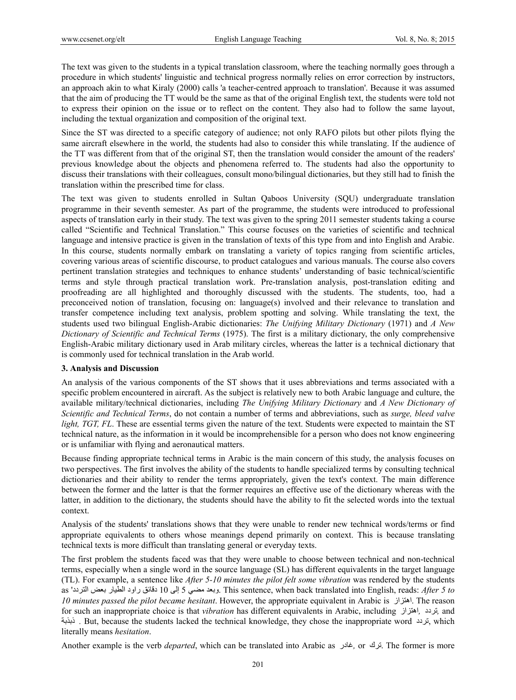The text was given to the students in a typical translation classroom, where the teaching normally goes through a procedure in which students' linguistic and technical progress normally relies on error correction by instructors, an approach akin to what Kiraly (2000) calls 'a teacher-centred approach to translation'. Because it was assumed that the aim of producing the TT would be the same as that of the original English text, the students were told not to express their opinion on the issue or to reflect on the content. They also had to follow the same layout, including the textual organization and composition of the original text.

Since the ST was directed to a specific category of audience; not only RAFO pilots but other pilots flying the same aircraft elsewhere in the world, the students had also to consider this while translating. If the audience of the TT was different from that of the original ST, then the translation would consider the amount of the readers' previous knowledge about the objects and phenomena referred to. The students had also the opportunity to discuss their translations with their colleagues, consult mono/bilingual dictionaries, but they still had to finish the translation within the prescribed time for class.

The text was given to students enrolled in Sultan Qaboos University (SQU) undergraduate translation programme in their seventh semester. As part of the programme, the students were introduced to professional aspects of translation early in their study. The text was given to the spring 2011 semester students taking a course called "Scientific and Technical Translation." This course focuses on the varieties of scientific and technical language and intensive practice is given in the translation of texts of this type from and into English and Arabic. In this course, students normally embark on translating a variety of topics ranging from scientific articles, covering various areas of scientific discourse, to product catalogues and various manuals. The course also covers pertinent translation strategies and techniques to enhance students' understanding of basic technical/scientific terms and style through practical translation work. Pre-translation analysis, post-translation editing and proofreading are all highlighted and thoroughly discussed with the students. The students, too, had a preconceived notion of translation, focusing on: language(s) involved and their relevance to translation and transfer competence including text analysis, problem spotting and solving. While translating the text, the students used two bilingual English-Arabic dictionaries: *The Unifying Military Dictionary* (1971) and *A New Dictionary of Scientific and Technical Terms* (1975). The first is a military dictionary, the only comprehensive English-Arabic military dictionary used in Arab military circles, whereas the latter is a technical dictionary that is commonly used for technical translation in the Arab world.

## **3. Analysis and Discussion**

An analysis of the various components of the ST shows that it uses abbreviations and terms associated with a specific problem encountered in aircraft. As the subject is relatively new to both Arabic language and culture, the available military/technical dictionaries, including *The Unifying Military Dictionary* and *A New Dictionary of Scientific and Technical Terms*, do not contain a number of terms and abbreviations, such as *surge, bleed valve light, TGT, FL*. These are essential terms given the nature of the text. Students were expected to maintain the ST technical nature, as the information in it would be incomprehensible for a person who does not know engineering or is unfamiliar with flying and aeronautical matters.

Because finding appropriate technical terms in Arabic is the main concern of this study, the analysis focuses on two perspectives. The first involves the ability of the students to handle specialized terms by consulting technical dictionaries and their ability to render the terms appropriately, given the text's context. The main difference between the former and the latter is that the former requires an effective use of the dictionary whereas with the latter, in addition to the dictionary, the students should have the ability to fit the selected words into the textual context.

Analysis of the students' translations shows that they were unable to render new technical words/terms or find appropriate equivalents to others whose meanings depend primarily on context. This is because translating technical texts is more difficult than translating general or everyday texts.

The first problem the students faced was that they were unable to choose between technical and non-technical terms, especially when a single word in the source language (SL) has different equivalents in the target language (TL). For example, a sentence like *After 5-10 minutes the pilot felt some vibration* was rendered by the students as ' التردد بعض الطيار راود دقائق 10 إلى 5 مضي وبعد. This sentence, when back translated into English, reads: *After 5 to 10 minutes passed the pilot became hesitant*. However, the appropriate equivalent in Arabic is اهتزاز. The reason for such an inappropriate choice is that *vibration* has different equivalents in Arabic, including اهتزاز*,* تردد*,* and ذبذبة *.* But, because the students lacked the technical knowledge, they chose the inappropriate word تردد, which literally means *hesitation*.

Another example is the verb *departed*, which can be translated into Arabic as غادر*,* or ترك. The former is more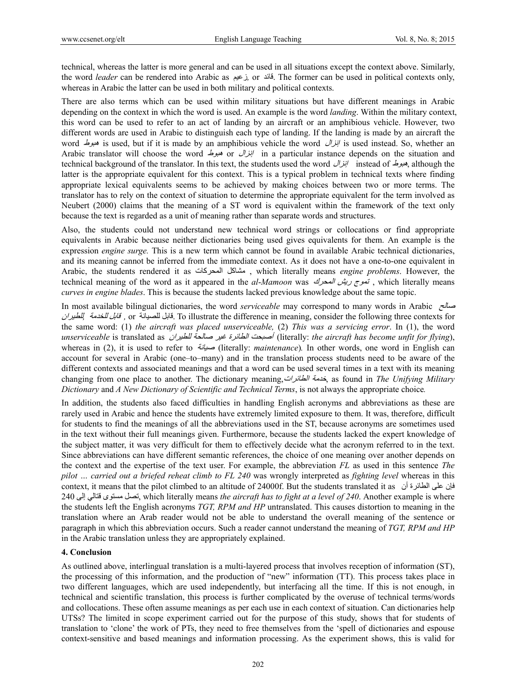technical, whereas the latter is more general and can be used in all situations except the context above. Similarly, the word *leader* can be rendered into Arabic as زعيم*,* or قائد. The former can be used in political contexts only, whereas in Arabic the latter can be used in both military and political contexts.

There are also terms which can be used within military situations but have different meanings in Arabic depending on the context in which the word is used. An example is the word *landing*. Within the military context, this word can be used to refer to an act of landing by an aircraft or an amphibious vehicle. However, two different words are used in Arabic to distinguish each type of landing. If the landing is made by an aircraft the word هبوط is used, but if it is made by an amphibious vehicle the word إنزال is used instead. So, whether an Arabic translator will choose the word  $\frac{dy}{dx}$  or  $\frac{dy}{dx}$  in a particular instance depends on the situation and technical background of the translator. In this text, the students used the word إنزال instead of هبوط, although the latter is the appropriate equivalent for this context. This is a typical problem in technical texts where finding appropriate lexical equivalents seems to be achieved by making choices between two or more terms. The translator has to rely on the context of situation to determine the appropriate equivalent for the term involved as Neubert (2000) claims that the meaning of a ST word is equivalent within the framework of the text only because the text is regarded as a unit of meaning rather than separate words and structures.

Also, the students could not understand new technical word strings or collocations or find appropriate equivalents in Arabic because neither dictionaries being used gives equivalents for them. An example is the expression *engine surge.* This is a new term which cannot be found in available Arabic technical dictionaries, and its meaning cannot be inferred from the immediate context. As it does not have a one-to-one equivalent in Arabic, the students rendered it as المحرآات مشاآل , which literally means *engine problems*. However, the technical meaning of the word as it appeared in the *al-Mamoon* was المحرك المحرك , which literally means *curves in engine blades*. This is because the students lacked previous knowledge about the same topic.

In most available bilingual dictionaries, the word *serviceable* may correspond to many words in Arabic صالح لل*غدمة [*إلى *اللخدمة [*] قابل *اللحيدان* , or قابل *اللحيدان* To illustrate the difference in meaning, consider the following three contexts for the same word: (1) *the aircraft was placed unserviceable,* (2) *This was a servicing error*. In (1), the word *unserviceable* is translated as للطيران صالحة غير الطائرة أصبحت) literally: *the aircraft has become unfit for flying*), whereas in (2), it is used to refer to صيانة) literally: *maintenance*)*.* In other words, one word in English can account for several in Arabic (one–to–many) and in the translation process students need to be aware of the different contexts and associated meanings and that a word can be used several times in a text with its meaning changing from one place to another. The dictionary meaning,الطائرات خدمة, as found in *The Unifying Military Dictionary* and *A New Dictionary of Scientific and Technical Terms*, is not always the appropriate choice*.*

In addition, the students also faced difficulties in handling English acronyms and abbreviations as these are rarely used in Arabic and hence the students have extremely limited exposure to them. It was, therefore, difficult for students to find the meanings of all the abbreviations used in the ST, because acronyms are sometimes used in the text without their full meanings given. Furthermore, because the students lacked the expert knowledge of the subject matter, it was very difficult for them to effectively decide what the acronym referred to in the text. Since abbreviations can have different semantic references, the choice of one meaning over another depends on the context and the expertise of the text user. For example, the abbreviation *FL* as used in this sentence *The pilot … carried out a briefed reheat climb to FL 240* was wrongly interpreted as *fighting level* whereas in this context, it means that the pilot climbed to an altitude of 24000f. But the students translated it as أن الطائرة على فإن 240 , which literally means إلى قتالي مستوى تصل *the aircraft has to fight at a level of 240*. Another example is where the students left the English acronyms *TGT, RPM and HP* untranslated. This causes distortion to meaning in the translation where an Arab reader would not be able to understand the overall meaning of the sentence or paragraph in which this abbreviation occurs. Such a reader cannot understand the meaning of *TGT, RPM and HP* in the Arabic translation unless they are appropriately explained.

#### **4. Conclusion**

As outlined above, interlingual translation is a multi-layered process that involves reception of information (ST), the processing of this information, and the production of "new" information (TT). This process takes place in two different languages, which are used independently, but interfacing all the time. If this is not enough, in technical and scientific translation, this process is further complicated by the overuse of technical terms/words and collocations. These often assume meanings as per each use in each context of situation. Can dictionaries help UTSs? The limited in scope experiment carried out for the purpose of this study, shows that for students of translation to 'clone' the work of PTs, they need to free themselves from the 'spell of dictionaries and espouse context-sensitive and based meanings and information processing. As the experiment shows, this is valid for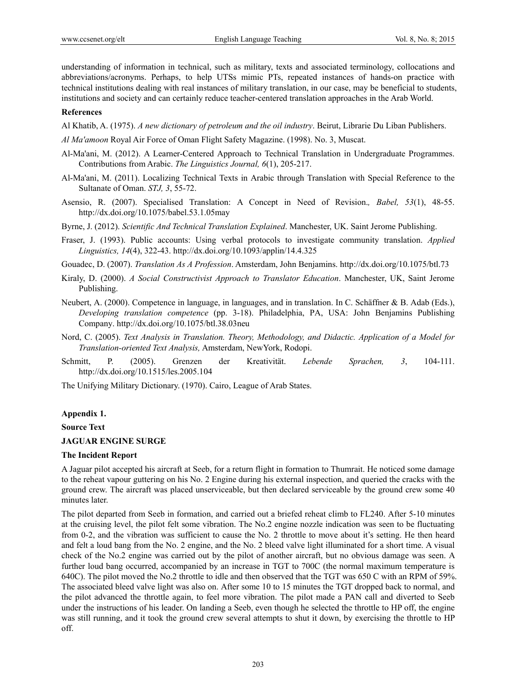understanding of information in technical, such as military, texts and associated terminology, collocations and abbreviations/acronyms. Perhaps, to help UTSs mimic PTs, repeated instances of hands-on practice with technical institutions dealing with real instances of military translation, in our case, may be beneficial to students, institutions and society and can certainly reduce teacher-centered translation approaches in the Arab World.

#### **References**

- Al Khatib, A. (1975). *A new dictionary of petroleum and the oil industry*. Beirut, Librarie Du Liban Publishers.
- *Al Ma'amoon* Royal Air Force of Oman Flight Safety Magazine. (1998). No. 3, Muscat.
- Al-Ma'ani, M. (2012). A Learner-Centered Approach to Technical Translation in Undergraduate Programmes. Contributions from Arabic. *The Linguistics Journal, 6*(1), 205-217.
- Al-Ma'ani, M. (2011). Localizing Technical Texts in Arabic through Translation with Special Reference to the Sultanate of Oman. *STJ, 3*, 55-72.
- Asensio, R. (2007). Specialised Translation: A Concept in Need of Revision.*, Babel, 53*(1), 48-55. http://dx.doi.org/10.1075/babel.53.1.05may
- Byrne, J. (2012). *Scientific And Technical Translation Explained*. Manchester, UK. Saint Jerome Publishing.
- Fraser, J. (1993). Public accounts: Using verbal protocols to investigate community translation. *Applied Linguistics, 14*(4), 322-43. http://dx.doi.org/10.1093/applin/14.4.325
- Gouadec, D. (2007). *Translation As A Profession*. Amsterdam, John Benjamins. http://dx.doi.org/10.1075/btl.73
- Kiraly, D. (2000). *A Social Constructivist Approach to Translator Education*. Manchester, UK, Saint Jerome Publishing.
- Neubert, A. (2000). Competence in language, in languages, and in translation. In C. Schäffner & B. Adab (Eds.), *Developing translation competence* (pp. 3-18). Philadelphia, PA, USA: John Benjamins Publishing Company. http://dx.doi.org/10.1075/btl.38.03neu
- Nord, C. (2005). *Text Analysis in Translation. Theory, Methodology, and Didactic. Application of a Model for Translation-oriented Text Analysis,* Amsterdam, NewYork, Rodopi.
- Schmitt, P. (2005). Grenzen der Kreativität. *Lebende Sprachen, 3*, 104-111. http://dx.doi.org/10.1515/les.2005.104
- The Unifying Military Dictionary. (1970). Cairo, League of Arab States.

## **Appendix 1.**

**Source Text** 

#### **JAGUAR ENGINE SURGE**

### **The Incident Report**

A Jaguar pilot accepted his aircraft at Seeb, for a return flight in formation to Thumrait. He noticed some damage to the reheat vapour guttering on his No. 2 Engine during his external inspection, and queried the cracks with the ground crew. The aircraft was placed unserviceable, but then declared serviceable by the ground crew some 40 minutes later.

The pilot departed from Seeb in formation, and carried out a briefed reheat climb to FL240. After 5-10 minutes at the cruising level, the pilot felt some vibration. The No.2 engine nozzle indication was seen to be fluctuating from 0-2, and the vibration was sufficient to cause the No. 2 throttle to move about it's setting. He then heard and felt a loud bang from the No. 2 engine, and the No. 2 bleed valve light illuminated for a short time. A visual check of the No.2 engine was carried out by the pilot of another aircraft, but no obvious damage was seen. A further loud bang occurred, accompanied by an increase in TGT to 700C (the normal maximum temperature is 640C). The pilot moved the No.2 throttle to idle and then observed that the TGT was 650 C with an RPM of 59%. The associated bleed valve light was also on. After some 10 to 15 minutes the TGT dropped back to normal, and the pilot advanced the throttle again, to feel more vibration. The pilot made a PAN call and diverted to Seeb under the instructions of his leader. On landing a Seeb, even though he selected the throttle to HP off, the engine was still running, and it took the ground crew several attempts to shut it down, by exercising the throttle to HP off.